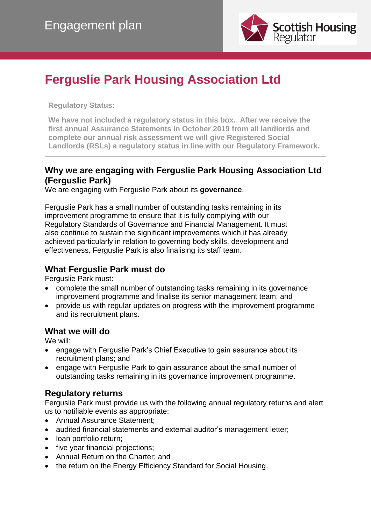

# **Ferguslie Park Housing Association Ltd**

#### **Regulatory Status:**

**We have not included a regulatory status in this box. After we receive the first annual Assurance Statements in October 2019 from all landlords and complete our annual risk assessment we will give Registered Social Landlords (RSLs) a regulatory status in line with our Regulatory Framework.**

## **Why we are engaging with Ferguslie Park Housing Association Ltd (Ferguslie Park)**

We are engaging with Ferguslie Park about its **governance**.

Ferguslie Park has a small number of outstanding tasks remaining in its improvement programme to ensure that it is fully complying with our Regulatory Standards of Governance and Financial Management. It must also continue to sustain the significant improvements which it has already achieved particularly in relation to governing body skills, development and effectiveness. Ferguslie Park is also finalising its staff team.

## **What Ferguslie Park must do**

Ferguslie Park must:

- complete the small number of outstanding tasks remaining in its governance improvement programme and finalise its senior management team; and
- provide us with regular updates on progress with the improvement programme and its recruitment plans.

## **What we will do**

We will:

- engage with Ferguslie Park's Chief Executive to gain assurance about its recruitment plans; and
- engage with Ferguslie Park to gain assurance about the small number of outstanding tasks remaining in its governance improvement programme.

## **Regulatory returns**

Ferguslie Park must provide us with the following annual regulatory returns and alert us to notifiable events as appropriate:

- Annual Assurance Statement;
- audited financial statements and external auditor's management letter;
- loan portfolio return;
- five year financial projections;
- Annual Return on the Charter; and
- the return on the Energy Efficiency Standard for Social Housing.